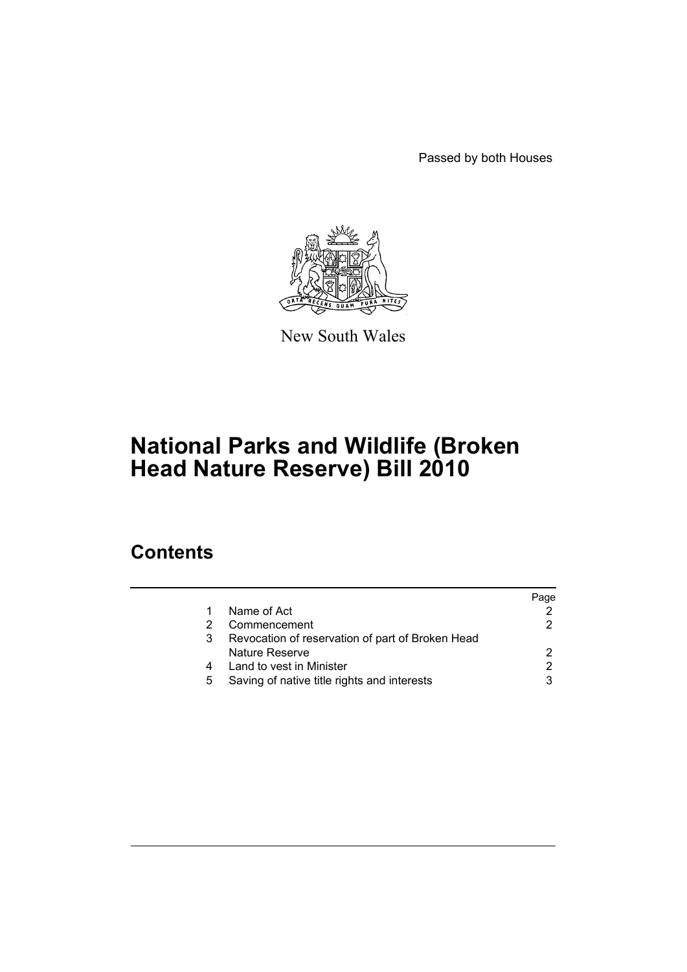Passed by both Houses



New South Wales

# **National Parks and Wildlife (Broken Head Nature Reserve) Bill 2010**

## **Contents**

|   |                                                  | Page |
|---|--------------------------------------------------|------|
| 1 | Name of Act                                      |      |
| 2 | Commencement                                     |      |
| 3 | Revocation of reservation of part of Broken Head |      |
|   | Nature Reserve                                   | 2    |
| 4 | Land to vest in Minister                         |      |
| 5 | Saving of native title rights and interests      |      |
|   |                                                  |      |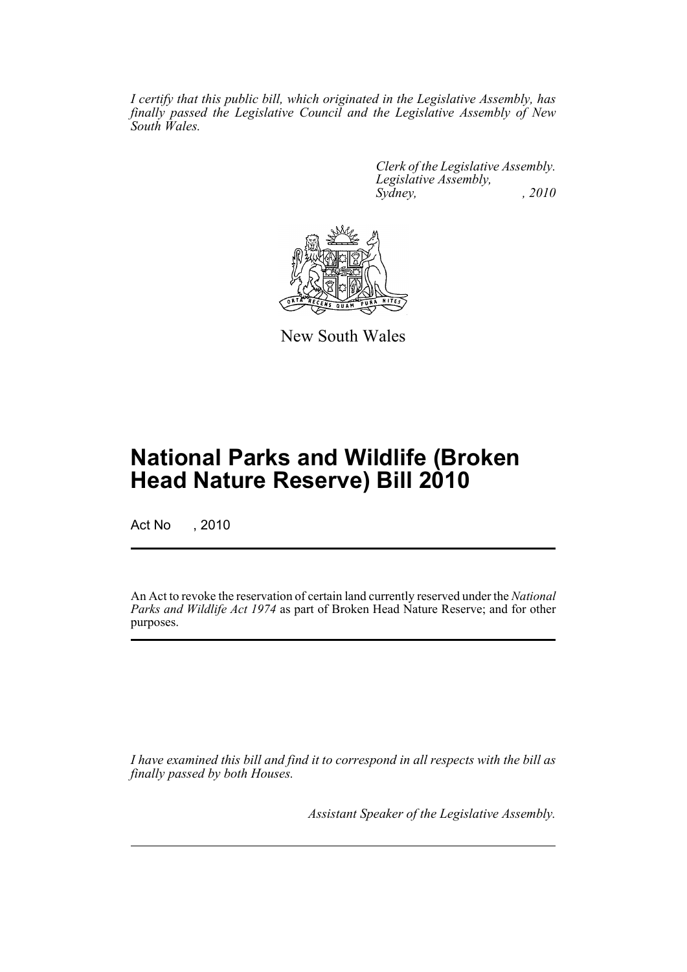*I certify that this public bill, which originated in the Legislative Assembly, has finally passed the Legislative Council and the Legislative Assembly of New South Wales.*

> *Clerk of the Legislative Assembly. Legislative Assembly, Sydney, , 2010*



New South Wales

# **National Parks and Wildlife (Broken Head Nature Reserve) Bill 2010**

Act No , 2010

An Act to revoke the reservation of certain land currently reserved under the *National Parks and Wildlife Act 1974* as part of Broken Head Nature Reserve; and for other purposes.

*I have examined this bill and find it to correspond in all respects with the bill as finally passed by both Houses.*

*Assistant Speaker of the Legislative Assembly.*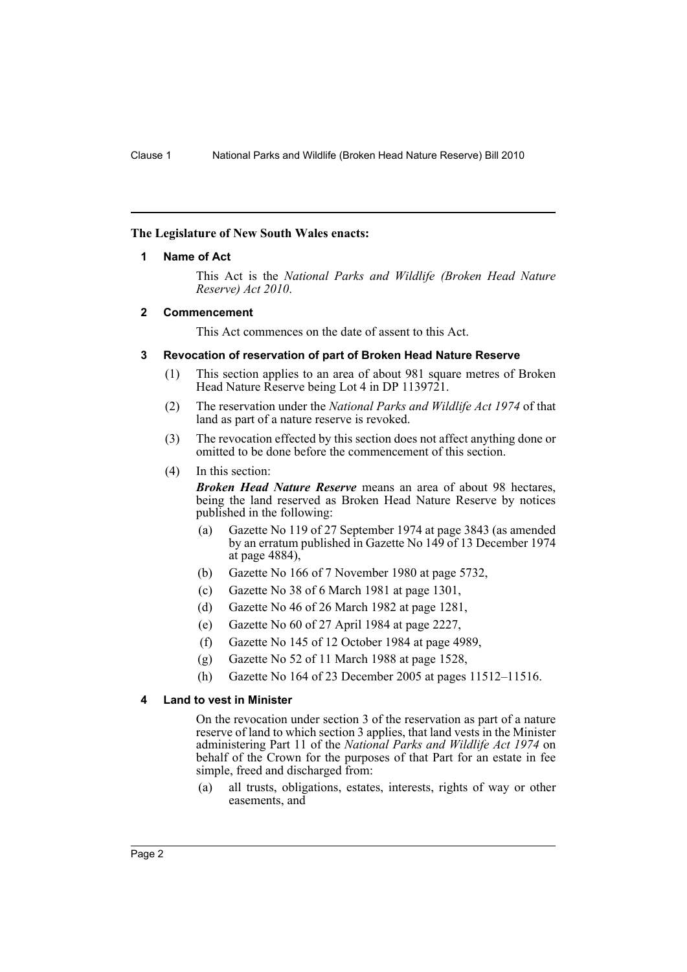#### <span id="page-2-0"></span>**The Legislature of New South Wales enacts:**

#### **1 Name of Act**

This Act is the *National Parks and Wildlife (Broken Head Nature Reserve) Act 2010*.

#### <span id="page-2-1"></span>**2 Commencement**

This Act commences on the date of assent to this Act.

### <span id="page-2-2"></span>**3 Revocation of reservation of part of Broken Head Nature Reserve**

- (1) This section applies to an area of about 981 square metres of Broken Head Nature Reserve being Lot 4 in DP 1139721.
- (2) The reservation under the *National Parks and Wildlife Act 1974* of that land as part of a nature reserve is revoked.
- (3) The revocation effected by this section does not affect anything done or omitted to be done before the commencement of this section.
- (4) In this section:

*Broken Head Nature Reserve* means an area of about 98 hectares, being the land reserved as Broken Head Nature Reserve by notices published in the following:

- (a) Gazette No 119 of 27 September 1974 at page 3843 (as amended by an erratum published in Gazette No 149 of 13 December 1974 at page 4884),
- (b) Gazette No 166 of 7 November 1980 at page 5732,
- (c) Gazette No 38 of 6 March 1981 at page 1301,
- (d) Gazette No 46 of 26 March 1982 at page 1281,
- (e) Gazette No 60 of 27 April 1984 at page 2227,
- (f) Gazette No 145 of 12 October 1984 at page 4989,
- (g) Gazette No 52 of 11 March 1988 at page 1528,
- (h) Gazette No 164 of 23 December 2005 at pages 11512–11516.

### <span id="page-2-3"></span>**4 Land to vest in Minister**

On the revocation under section 3 of the reservation as part of a nature reserve of land to which section 3 applies, that land vests in the Minister administering Part 11 of the *National Parks and Wildlife Act 1974* on behalf of the Crown for the purposes of that Part for an estate in fee simple, freed and discharged from:

(a) all trusts, obligations, estates, interests, rights of way or other easements, and